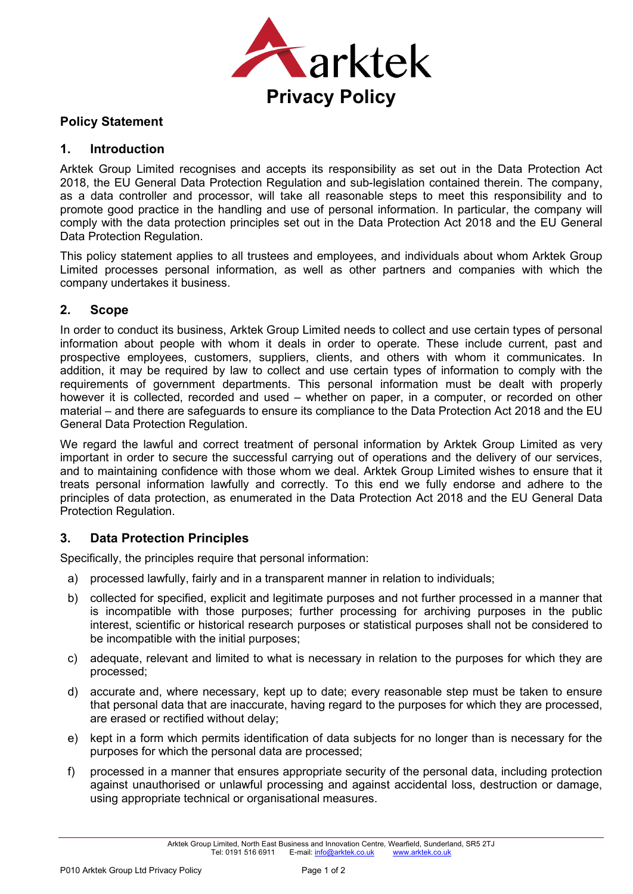

# **Policy Statement**

### **1. Introduction**

Arktek Group Limited recognises and accepts its responsibility as set out in the Data Protection Act 2018, the EU General Data Protection Regulation and sub-legislation contained therein. The company, as a data controller and processor, will take all reasonable steps to meet this responsibility and to promote good practice in the handling and use of personal information. In particular, the company will comply with the data protection principles set out in the Data Protection Act 2018 and the EU General Data Protection Regulation.

This policy statement applies to all trustees and employees, and individuals about whom Arktek Group Limited processes personal information, as well as other partners and companies with which the company undertakes it business.

# **2. Scope**

In order to conduct its business, Arktek Group Limited needs to collect and use certain types of personal information about people with whom it deals in order to operate. These include current, past and prospective employees, customers, suppliers, clients, and others with whom it communicates. In addition, it may be required by law to collect and use certain types of information to comply with the requirements of government departments. This personal information must be dealt with properly however it is collected, recorded and used – whether on paper, in a computer, or recorded on other material – and there are safeguards to ensure its compliance to the Data Protection Act 2018 and the EU General Data Protection Regulation.

We regard the lawful and correct treatment of personal information by Arktek Group Limited as very important in order to secure the successful carrying out of operations and the delivery of our services, and to maintaining confidence with those whom we deal. Arktek Group Limited wishes to ensure that it treats personal information lawfully and correctly. To this end we fully endorse and adhere to the principles of data protection, as enumerated in the Data Protection Act 2018 and the EU General Data Protection Regulation.

# **3. Data Protection Principles**

Specifically, the principles require that personal information:

- a) processed lawfully, fairly and in a transparent manner in relation to individuals;
- b) collected for specified, explicit and legitimate purposes and not further processed in a manner that is incompatible with those purposes; further processing for archiving purposes in the public interest, scientific or historical research purposes or statistical purposes shall not be considered to be incompatible with the initial purposes;
- c) adequate, relevant and limited to what is necessary in relation to the purposes for which they are processed;
- d) accurate and, where necessary, kept up to date; every reasonable step must be taken to ensure that personal data that are inaccurate, having regard to the purposes for which they are processed, are erased or rectified without delay;
- e) kept in a form which permits identification of data subjects for no longer than is necessary for the purposes for which the personal data are processed;
- f) processed in a manner that ensures appropriate security of the personal data, including protection against unauthorised or unlawful processing and against accidental loss, destruction or damage, using appropriate technical or organisational measures.